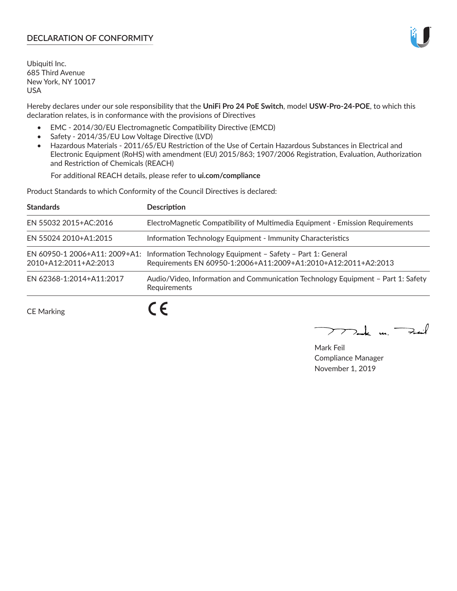# **DECLARATION OF CONFORMITY**

Ubiquiti Inc. 685 Third Avenue New York, NY 10017 USA

Hereby declares under our sole responsibility that the **UniFi Pro 24 PoE Switch**, model **USW-Pro-24-POE**, to which this declaration relates, is in conformance with the provisions of Directives

- EMC 2014/30/EU Electromagnetic Compatibility Directive (EMCD)
- Safety 2014/35/EU Low Voltage Directive (LVD)
- Hazardous Materials 2011/65/EU Restriction of the Use of Certain Hazardous Substances in Electrical and Electronic Equipment (RoHS) with amendment (EU) 2015/863; 1907/2006 Registration, Evaluation, Authorization and Restriction of Chemicals (REACH)

For additional REACH details, please refer to **ui.com/compliance**

Product Standards to which Conformity of the Council Directives is declared:

| <b>Standards</b>                                                                                                                                                                                                                                                                                                                                                                                                                                                              | <b>Description</b>                                                                                                                                          |
|-------------------------------------------------------------------------------------------------------------------------------------------------------------------------------------------------------------------------------------------------------------------------------------------------------------------------------------------------------------------------------------------------------------------------------------------------------------------------------|-------------------------------------------------------------------------------------------------------------------------------------------------------------|
| EN 55032 2015+AC:2016                                                                                                                                                                                                                                                                                                                                                                                                                                                         | ElectroMagnetic Compatibility of Multimedia Equipment - Emission Requirements                                                                               |
| EN 55024 2010+A1:2015                                                                                                                                                                                                                                                                                                                                                                                                                                                         | Information Technology Equipment - Immunity Characteristics                                                                                                 |
| 2010+A12:2011+A2:2013                                                                                                                                                                                                                                                                                                                                                                                                                                                         | EN 60950-1 2006+A11: 2009+A1: Information Technology Equipment - Safety - Part 1: General<br>Requirements EN 60950-1:2006+A11:2009+A1:2010+A12:2011+A2:2013 |
| EN 62368-1:2014+A11:2017                                                                                                                                                                                                                                                                                                                                                                                                                                                      | Audio/Video, Information and Communication Technology Equipment - Part 1: Safety<br>Requirements                                                            |
| $\begin{array}{ccccccccccccccccc} \multicolumn{4}{c }{\multicolumn{4}{c }{\multicolumn{4}{c }{\multicolumn{4}{c }{\multicolumn{4}{c }{\multicolumn{4}{c}}}} & \multicolumn{4}{c }{\multicolumn{4}{c }{\multicolumn{4}{c }{\multicolumn{4}{c}}}} & \multicolumn{4}{c }{\multicolumn{4}{c }{\multicolumn{4}{c }{\multicolumn{4}{c }{\multicolumn{4}{c}}}} & \multicolumn{4}{c }{\multicolumn{4}{c }{\multicolumn{4}{c }{\multicolumn{4}{c }{\multicolumn{4}{c }{\multicolumn{4$ |                                                                                                                                                             |

CE Marking

r c

 $\rightarrow$  and  $\rightarrow$ 

Mark Feil Compliance Manager November 1, 2019

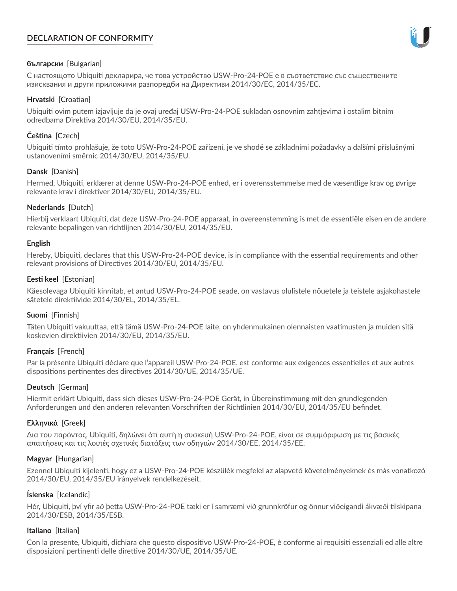# **DECLARATION OF CONFORMITY**



# **български** [Bulgarian]

С настоящото Ubiquiti декларира, че това устройство USW-Pro-24-POE е в съответствие със съществените изисквания и други приложими разпоредби на Директиви 2014/30/ЕС, 2014/35/ЕС.

## **Hrvatski** [Croatian]

Ubiquiti ovim putem izjavljuje da je ovaj uređaj USW-Pro-24-POE sukladan osnovnim zahtjevima i ostalim bitnim odredbama Direktiva 2014/30/EU, 2014/35/EU.

# **Čeština** [Czech]

Ubiquiti tímto prohlašuje, že toto USW-Pro-24-POE zařízení, je ve shodě se základními požadavky a dalšími příslušnými ustanoveními směrnic 2014/30/EU, 2014/35/EU.

## **Dansk** [Danish]

Hermed, Ubiquiti, erklærer at denne USW-Pro-24-POE enhed, er i overensstemmelse med de væsentlige krav og øvrige relevante krav i direktiver 2014/30/EU, 2014/35/EU.

## **Nederlands** [Dutch]

Hierbij verklaart Ubiquiti, dat deze USW-Pro-24-POE apparaat, in overeenstemming is met de essentiële eisen en de andere relevante bepalingen van richtlijnen 2014/30/EU, 2014/35/EU.

## **English**

Hereby, Ubiquiti, declares that this USW-Pro-24-POE device, is in compliance with the essential requirements and other relevant provisions of Directives 2014/30/EU, 2014/35/EU.

## **Eesti keel** [Estonian]

Käesolevaga Ubiquiti kinnitab, et antud USW-Pro-24-POE seade, on vastavus olulistele nõuetele ja teistele asjakohastele sätetele direktiivide 2014/30/EL, 2014/35/EL.

## **Suomi** [Finnish]

Täten Ubiquiti vakuuttaa, että tämä USW-Pro-24-POE laite, on yhdenmukainen olennaisten vaatimusten ja muiden sitä koskevien direktiivien 2014/30/EU, 2014/35/EU.

# **Français** [French]

Par la présente Ubiquiti déclare que l'appareil USW-Pro-24-POE, est conforme aux exigences essentielles et aux autres dispositions pertinentes des directives 2014/30/UE, 2014/35/UE.

# **Deutsch** [German]

Hiermit erklärt Ubiquiti, dass sich dieses USW-Pro-24-POE Gerät, in Übereinstimmung mit den grundlegenden Anforderungen und den anderen relevanten Vorschriften der Richtlinien 2014/30/EU, 2014/35/EU befindet.

## **Ελληνικά** [Greek]

Δια του παρόντος, Ubiquiti, δηλώνει ότι αυτή η συσκευή USW-Pro-24-POE, είναι σε συμμόρφωση με τις βασικές απαιτήσεις και τις λοιπές σχετικές διατάξεις των οδηγιών 2014/30/EE, 2014/35/EE.

## **Magyar** [Hungarian]

Ezennel Ubiquiti kijelenti, hogy ez a USW-Pro-24-POE készülék megfelel az alapvető követelményeknek és más vonatkozó 2014/30/EU, 2014/35/EU irányelvek rendelkezéseit.

## **Íslenska** [Icelandic]

Hér, Ubiquiti, því yfir að þetta USW-Pro-24-POE tæki er í samræmi við grunnkröfur og önnur viðeigandi ákvæði tilskipana 2014/30/ESB, 2014/35/ESB.

## **Italiano** [Italian]

Con la presente, Ubiquiti, dichiara che questo dispositivo USW-Pro-24-POE, è conforme ai requisiti essenziali ed alle altre disposizioni pertinenti delle direttive 2014/30/UE, 2014/35/UE.